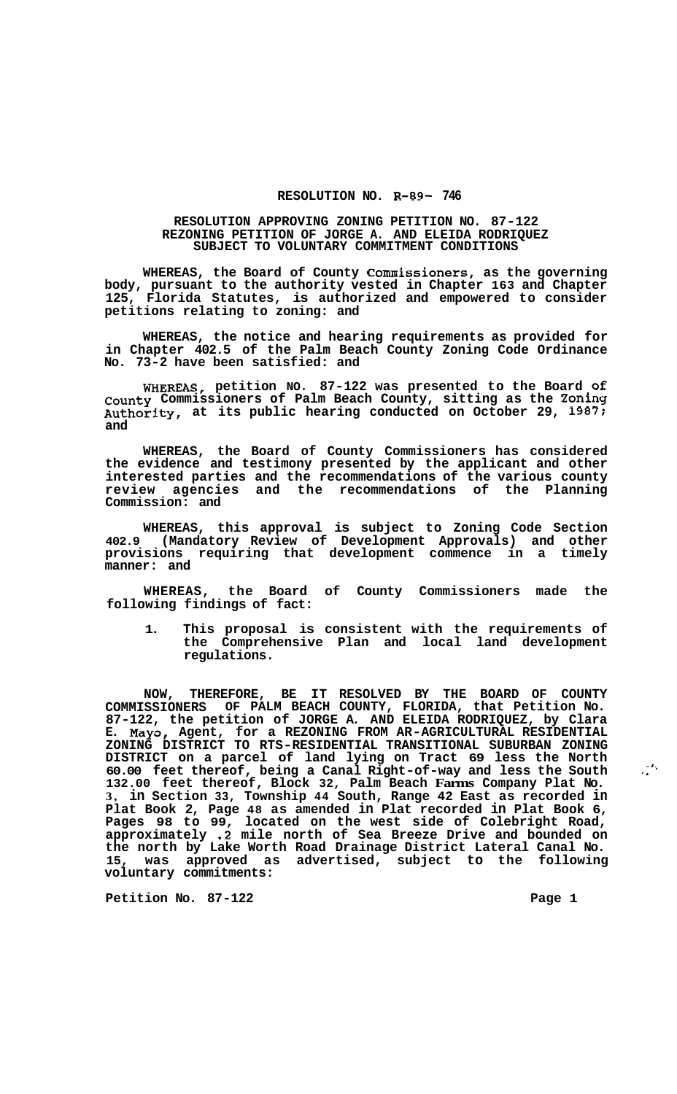## **RESOLUTION NO. R-89- 746**

## **RESOLUTION APPROVING ZONING PETITION NO. 87-122 REZONING PETITION OF JORGE A. AND ELEIDA RODRIQUEZ SUBJECT TO VOLUNTARY COMMITMENT CONDITIONS**

**WHEREAS, the Board of County Commissioners, as the governing body, pursuant to the authority vested in Chapter 163 and Chapter 125, Florida Statutes, is authorized and empowered to consider petitions relating to zoning: and** 

**WHEREAS, the notice and hearing requirements as provided for in Chapter 402.5 of the Palm Beach County Zoning Code Ordinance No. 73-2 have been satisfied: and** 

**WHEREAS, petition NO. 87-122 was presented to the Board of County Commissioners of Palm Beach County, sitting as the Zoning Authority, at its public hearing conducted on October 29, 1987; and** 

**WHEREAS, the Board of County Commissioners has considered the evidence and testimony presented by the applicant and other interested parties and the recommendations of the various county review agencies and the recommendations of the Planning Commission: and** 

**WHEREAS, this approval is subject to Zoning Code Section 402.9 (Mandatory Review of Development Approvals) and other provisions requiring that development commence in a timely manner: and** 

**WHEREAS, the Board of County Commissioners made the following findings of fact:** 

**1. This proposal is consistent with the requirements of the Comprehensive Plan and local land development regulations.** 

**NOW, THEREFORE, BE IT RESOLVED BY THE BOARD OF COUNTY COMMISSIONERS OF PALM BEACH COUNTY, FLORIDA, that Petition No. 87-122, the petition of JORGE A. AND ELEIDA RODRIQUEZ, by Clara E. Mayo, Agent, for a REZONING FROM AR-AGRICULTURAL RESIDENTIAL DISTRICT on a parcel of land lying on Tract 69 less the North 60.00 feet thereof, being a Canal Right-of-way and less the South 132.00 feet thereof, Block 32, Palm Beach Farms Company Plat No. 3, in Section 33, Township 44 South, Range 42 East as recorded in Plat Book 2, Page 48 as amended in Plat recorded in Plat Book 6, Pages 98 to 99, located on the west side of Colebright Road, approximately .2 mile north of Sea Breeze Drive and bounded on the north by Lake Worth Road Drainage District Lateral Canal No. 15, was approved as advertised, subject to the following voluntary commitments: ZONING DISTRICT TO RTS-RESIDENTIAL TRANSITIONAL SUBURBAN ZONING** 

**Petition No. 87-122 Page 1** 

*-1,*  ..